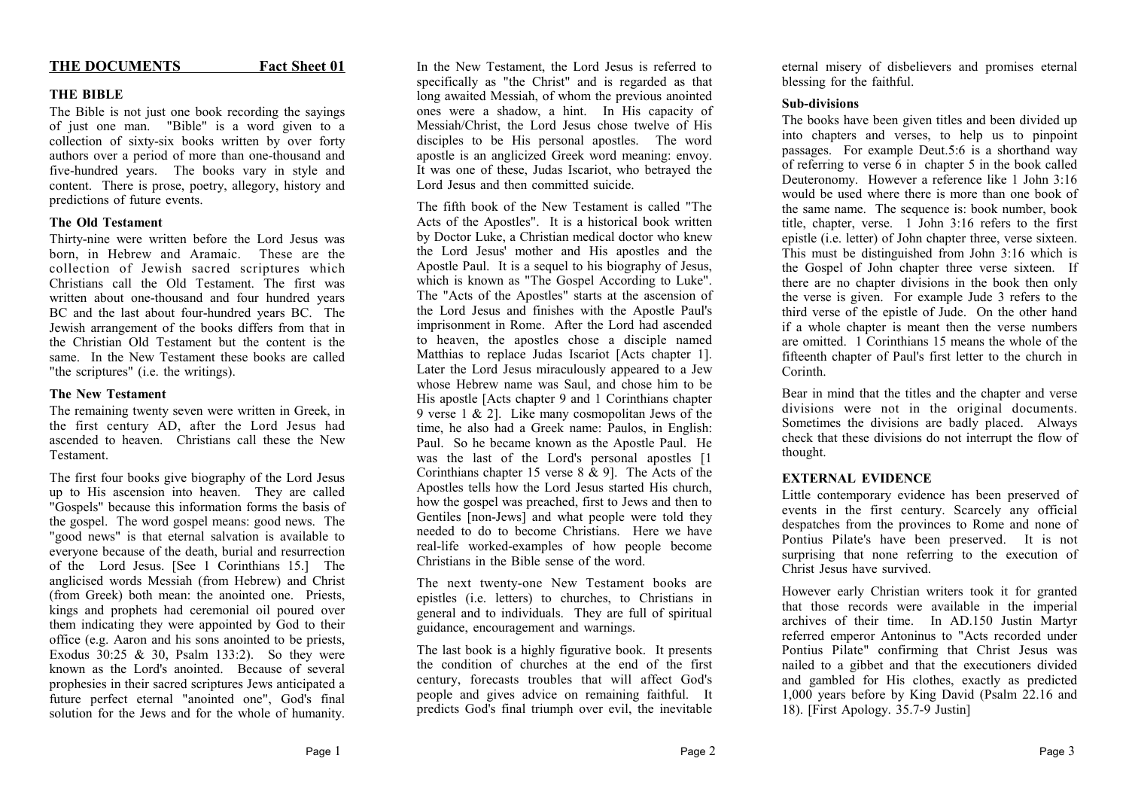#### THE DOCUMENTS **Fact Sheet 01**

# **THE BIBLE**

The Bible is not just one book recording the sayings of just one man. "Bible" is a word given to a collection of sixty-six books written by over forty authors over a period of more than one-thousand and five-hundred years. The books vary in style and content. There is prose, poetry, allegory, history and predictions of future events.

# **The Old Testament**

Thirty-nine were written before the Lord Jesus was born, in Hebrew and Aramaic. These are the collection of Jewish sacred scriptures which Christians call the Old Testament. The first was written about one-thousand and four hundred years BC and the last about four-hundred years BC. The Jewish arrangement of the books differs from that in the Christian Old Testament but the content is the same. In the New Testament these books are called "the scriptures" (i.e. the writings).

# **The New Testament**

The remaining twenty seven were written in Greek, in the first century AD, after the Lord Jesus had ascended to heaven. Christians call these the New Testament.

The first four books give biography of the Lord Jesus up to His ascension into heaven. They are called "Gospels" because this information forms the basis of the gospel. The word gospel means: good news. The "good news" is that eternal salvation is available to everyone because of the death, burial and resurrection of the Lord Jesus. [See 1 Corinthians 15.] The anglicised words Messiah (from Hebrew) and Christ (from Greek) both mean: the anointed one. Priests, kings and prophets had ceremonial oil poured over them indicating they were appointed by God to their office (e.g. Aaron and his sons anointed to be priests, Exodus 30:25 & 30, Psalm 133:2). So they were known as the Lord's anointed. Because of several prophesies in their sacred scriptures Jews anticipated a future perfect eternal "anointed one", God's final solution for the Jews and for the whole of humanity.

In the New Testament, the Lord Jesus is referred to specifically as "the Christ" and is regarded as that long awaited Messiah, of whom the previous anointed ones were a shadow, a hint. In His capacity of Messiah/Christ, the Lord Jesus chose twelve of His disciples to be His personal apostles. The word apostle is an anglicized Greek word meaning: envoy. It was one of these, Judas Iscariot, who betrayed the Lord Jesus and then committed suicide.

The fifth book of the New Testament is called "The Acts of the Apostles". It is a historical book written by Doctor Luke, a Christian medical doctor who knew the Lord Jesus' mother and His apostles and the Apostle Paul. It is a sequel to his biography of Jesus, which is known as "The Gospel According to Luke". The "Acts of the Apostles" starts at the ascension of the Lord Jesus and finishes with the Apostle Paul's imprisonment in Rome. After the Lord had ascended to heaven, the apostles chose a disciple named Matthias to replace Judas Iscariot [Acts chapter 1]. Later the Lord Jesus miraculously appeared to a Jew whose Hebrew name was Saul, and chose him to be His apostle [Acts chapter 9 and 1 Corinthians chapter 9 verse 1  $\&$  2]. Like many cosmopolitan Jews of the time, he also had a Greek name: Paulos, in English: Paul. So he became known as the Apostle Paul. He was the last of the Lord's personal apostles [1 Corinthians chapter 15 verse 8 & 9]. The Acts of the Apostles tells how the Lord Jesus started His church, how the gospel was preached, first to Jews and then to Gentiles [non-Jews] and what people were told they needed to do to become Christians. Here we have real-life worked-examples of how people become Christians in the Bible sense of the word.

The next twenty-one New Testament books are epistles (i.e. letters) to churches, to Christians in general and to individuals. They are full of spiritual guidance, encouragement and warnings.

The last book is a highly figurative book. It presents the condition of churches at the end of the first century, forecasts troubles that will affect God's people and gives advice on remaining faithful. It predicts God's final triumph over evil, the inevitable

eternal misery of disbelievers and promises eternal blessing for the faithful.

## **Sub-divisions**

The books have been given titles and been divided up into chapters and verses, to help us to pinpoint passages. For example Deut.5:6 is a shorthand way of referring to verse 6 in chapter 5 in the book called Deuteronomy. However a reference like 1 John 3:16 would be used where there is more than one book of the same name. The sequence is: book number, book title, chapter, verse. 1 John 3:16 refers to the first epistle (i.e. letter) of John chapter three, verse sixteen. This must be distinguished from John 3:16 which is the Gospel of John chapter three verse sixteen. If there are no chapter divisions in the book then only the verse is given. For example Jude 3 refers to the third verse of the epistle of Jude. On the other hand if a whole chapter is meant then the verse numbers are omitted. 1 Corinthians 15 means the whole of the fifteenth chapter of Paul's first letter to the church in Corinth.

Bear in mind that the titles and the chapter and verse divisions were not in the original documents. Sometimes the divisions are badly placed. Always check that these divisions do not interrupt the flow of thought.

## **EXTERNAL EVIDENCE**

Little contemporary evidence has been preserved of events in the first century. Scarcely any official despatches from the provinces to Rome and none of Pontius Pilate's have been preserved. It is not surprising that none referring to the execution of Christ Jesus have survived.

However early Christian writers took it for granted that those records were available in the imperial archives of their time. In AD.150 Justin Martyr referred emperor Antoninus to "Acts recorded under Pontius Pilate" confirming that Christ Jesus was nailed to a gibbet and that the executioners divided and gambled for His clothes, exactly as predicted 1,000 years before by King David (Psalm 22.16 and 18). [First Apology. 35.7-9 Justin]